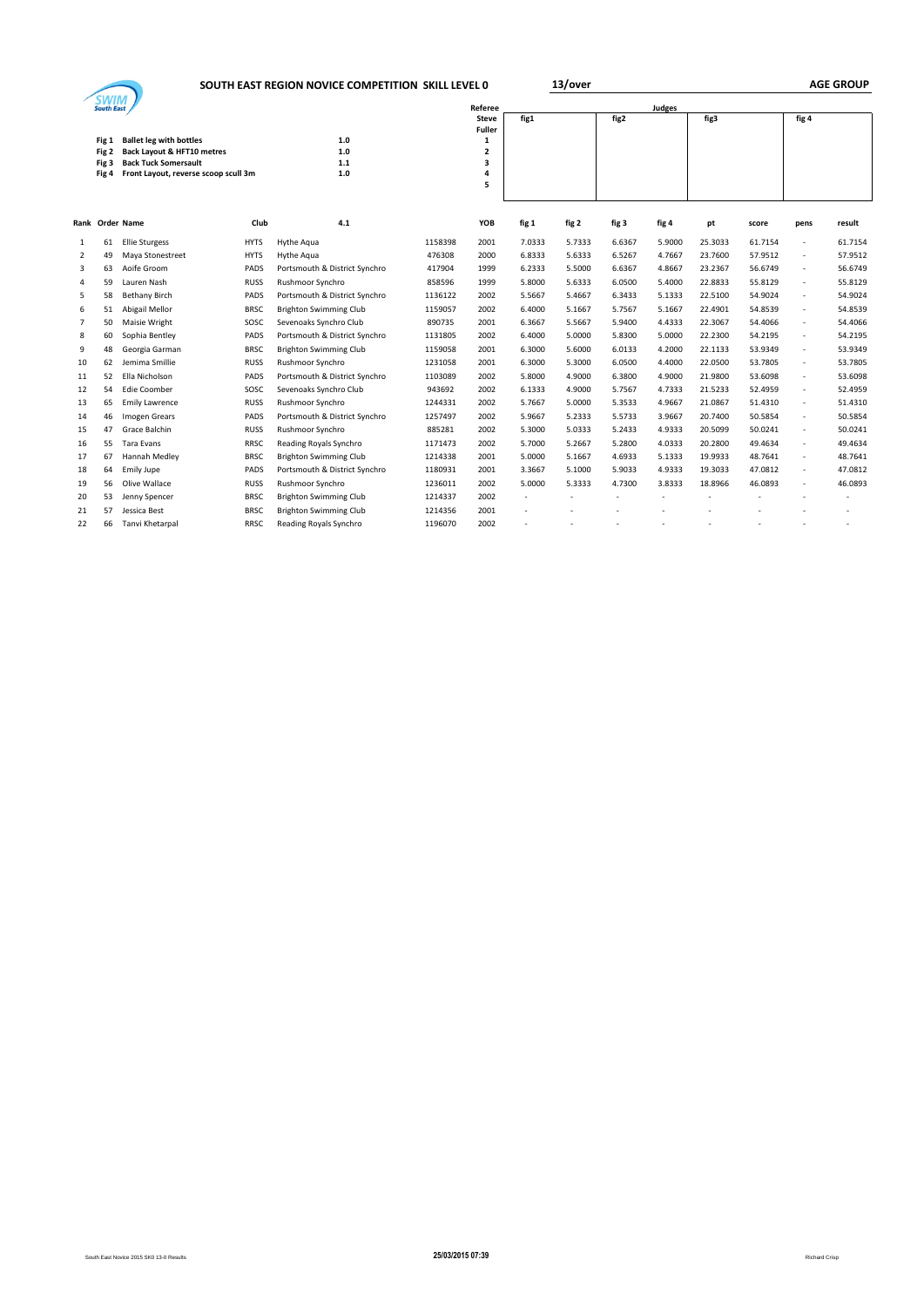## **SOUTH EAST REGION NOVICE COMPETITION SKILL LEVEL 0 <b>13/over**

|  | <b>AGE GROUP</b> |
|--|------------------|
|--|------------------|

|    |                   |                                                                     |             | <b>SOUTH EAST REGION NOVICE COMPETITION SKILL LEVEL 0</b> |         |                         |        | 13/0Ver |        |        |         |         |                          | AGE GROUP |
|----|-------------------|---------------------------------------------------------------------|-------------|-----------------------------------------------------------|---------|-------------------------|--------|---------|--------|--------|---------|---------|--------------------------|-----------|
|    | <b>South East</b> |                                                                     |             |                                                           |         | Referee                 |        |         |        | Judges |         |         |                          |           |
|    |                   |                                                                     |             |                                                           |         | Steve<br><b>Fuller</b>  | fig1   |         | fig2   |        | fig3    |         | fig 4                    |           |
|    | Fig 1             | <b>Ballet leg with bottles</b>                                      |             | 1.0                                                       |         | 1                       |        |         |        |        |         |         |                          |           |
|    | Fig 2             | <b>Back Layout &amp; HFT10 metres</b>                               |             | $1.0$                                                     |         | $\overline{\mathbf{2}}$ |        |         |        |        |         |         |                          |           |
|    | Fig 3             | <b>Back Tuck Somersault</b><br>Front Layout, reverse scoop scull 3m |             | $1.1$<br>$1.0$                                            |         | 3<br>4                  |        |         |        |        |         |         |                          |           |
|    | Fig 4             |                                                                     |             |                                                           |         | 5                       |        |         |        |        |         |         |                          |           |
|    |                   |                                                                     |             |                                                           |         |                         |        |         |        |        |         |         |                          |           |
|    |                   | Rank Order Name                                                     | Club        | 4.1                                                       |         | YOB                     | fig 1  | fig 2   | fig 3  | fig 4  | pt      | score   | pens                     | result    |
| -1 | 61                | <b>Ellie Sturgess</b>                                               | <b>HYTS</b> | Hythe Agua                                                | 1158398 | 2001                    | 7.0333 | 5.7333  | 6.6367 | 5.9000 | 25.3033 | 61.7154 | $\overline{\phantom{a}}$ | 61.7154   |
| 2  | 49                | Maya Stonestreet                                                    | <b>HYTS</b> | Hythe Agua                                                | 476308  | 2000                    | 6.8333 | 5.6333  | 6.5267 | 4.7667 | 23.7600 | 57.9512 | ٠                        | 57.9512   |
| 3  | 63                | Aoife Groom                                                         | PADS        | Portsmouth & District Synchro                             | 417904  | 1999                    | 6.2333 | 5.5000  | 6.6367 | 4.8667 | 23.2367 | 56.6749 | $\overline{\phantom{a}}$ | 56.6749   |
|    | 59                | Lauren Nash                                                         | <b>RUSS</b> | Rushmoor Synchro                                          | 858596  | 1999                    | 5.8000 | 5.6333  | 6.0500 | 5.4000 | 22.8833 | 55.8129 | $\overline{\phantom{a}}$ | 55.8129   |
| 5  | 58                | <b>Bethany Birch</b>                                                | PADS        | Portsmouth & District Synchro                             | 1136122 | 2002                    | 5.5667 | 5.4667  | 6.3433 | 5.1333 | 22.5100 | 54.9024 | ٠                        | 54.9024   |
| 6  | 51                | Abigail Mellor                                                      | <b>BRSC</b> | <b>Brighton Swimming Club</b>                             | 1159057 | 2002                    | 6.4000 | 5.1667  | 5.7567 | 5.1667 | 22.4901 | 54.8539 | ٠                        | 54.8539   |
|    | 50                | Maisie Wright                                                       | SOSC        | Sevenoaks Synchro Club                                    | 890735  | 2001                    | 6.3667 | 5.5667  | 5.9400 | 4.4333 | 22.3067 | 54.4066 | ٠                        | 54.4066   |
| 8  | 60                | Sophia Bentley                                                      | PADS        | Portsmouth & District Synchro                             | 1131805 | 2002                    | 6.4000 | 5.0000  | 5.8300 | 5.0000 | 22.2300 | 54.2195 | $\overline{\phantom{a}}$ | 54.2195   |
| 9  | 48                | Georgia Garman                                                      | <b>BRSC</b> | <b>Brighton Swimming Club</b>                             | 1159058 | 2001                    | 6.3000 | 5.6000  | 6.0133 | 4.2000 | 22.1133 | 53.9349 | $\overline{\phantom{a}}$ | 53.9349   |
| 10 | 62                | Jemima Smillie                                                      | <b>RUSS</b> | Rushmoor Synchro                                          | 1231058 | 2001                    | 6.3000 | 5.3000  | 6.0500 | 4.4000 | 22.0500 | 53.7805 | $\overline{\phantom{a}}$ | 53.7805   |
| 11 | 52                | Ella Nicholson                                                      | PADS        | Portsmouth & District Synchro                             | 1103089 | 2002                    | 5.8000 | 4.9000  | 6.3800 | 4.9000 | 21.9800 | 53.6098 | $\overline{\phantom{a}}$ | 53.6098   |
| 12 | 54                | <b>Edie Coomber</b>                                                 | SOSC        | Sevenoaks Synchro Club                                    | 943692  | 2002                    | 6.1333 | 4.9000  | 5.7567 | 4.7333 | 21.5233 | 52.4959 | $\overline{\phantom{a}}$ | 52.4959   |
| 13 | 65                | <b>Emily Lawrence</b>                                               | <b>RUSS</b> | Rushmoor Synchro                                          | 1244331 | 2002                    | 5.7667 | 5.0000  | 5.3533 | 4.9667 | 21.0867 | 51.4310 | ٠                        | 51.4310   |
| 14 | 46                | Imogen Grears                                                       | PADS        | Portsmouth & District Synchro                             | 1257497 | 2002                    | 5.9667 | 5.2333  | 5.5733 | 3.9667 | 20.7400 | 50.5854 | $\overline{\phantom{a}}$ | 50.5854   |
| 15 | 47                | Grace Balchin                                                       | <b>RUSS</b> | Rushmoor Synchro                                          | 885281  | 2002                    | 5.3000 | 5.0333  | 5.2433 | 4.9333 | 20.5099 | 50.0241 | $\overline{\phantom{a}}$ | 50.0241   |
| 16 | 55                | Tara Evans                                                          | <b>RRSC</b> | Reading Royals Synchro                                    | 1171473 | 2002                    | 5.7000 | 5.2667  | 5.2800 | 4.0333 | 20.2800 | 49.4634 | ٠                        | 49.4634   |
| 17 | 67                | Hannah Medley                                                       | <b>BRSC</b> | <b>Brighton Swimming Club</b>                             | 1214338 | 2001                    | 5.0000 | 5.1667  | 4.6933 | 5.1333 | 19.9933 | 48.7641 | $\overline{\phantom{a}}$ | 48.7641   |
| 18 | 64                | <b>Emily Jupe</b>                                                   | PADS        | Portsmouth & District Synchro                             | 1180931 | 2001                    | 3.3667 | 5.1000  | 5.9033 | 4.9333 | 19.3033 | 47.0812 | $\overline{\phantom{a}}$ | 47.0812   |
| 19 | 56                | Olive Wallace                                                       | <b>RUSS</b> | Rushmoor Synchro                                          | 1236011 | 2002                    | 5.0000 | 5.3333  | 4.7300 | 3.8333 | 18.8966 | 46.0893 | ٠                        | 46.0893   |
| 20 | 53                | Jenny Spencer                                                       | <b>BRSC</b> | <b>Brighton Swimming Club</b>                             | 1214337 | 2002                    |        |         |        |        |         |         |                          |           |
| 21 | 57                | Jessica Best                                                        | <b>BRSC</b> | <b>Brighton Swimming Club</b>                             | 1214356 | 2001                    |        |         |        |        |         |         |                          |           |
| 22 | 66                | Tanvi Khetarpal                                                     | <b>RRSC</b> | Reading Royals Synchro                                    | 1196070 | 2002                    |        |         |        |        |         |         |                          |           |
|    |                   |                                                                     |             |                                                           |         |                         |        |         |        |        |         |         |                          |           |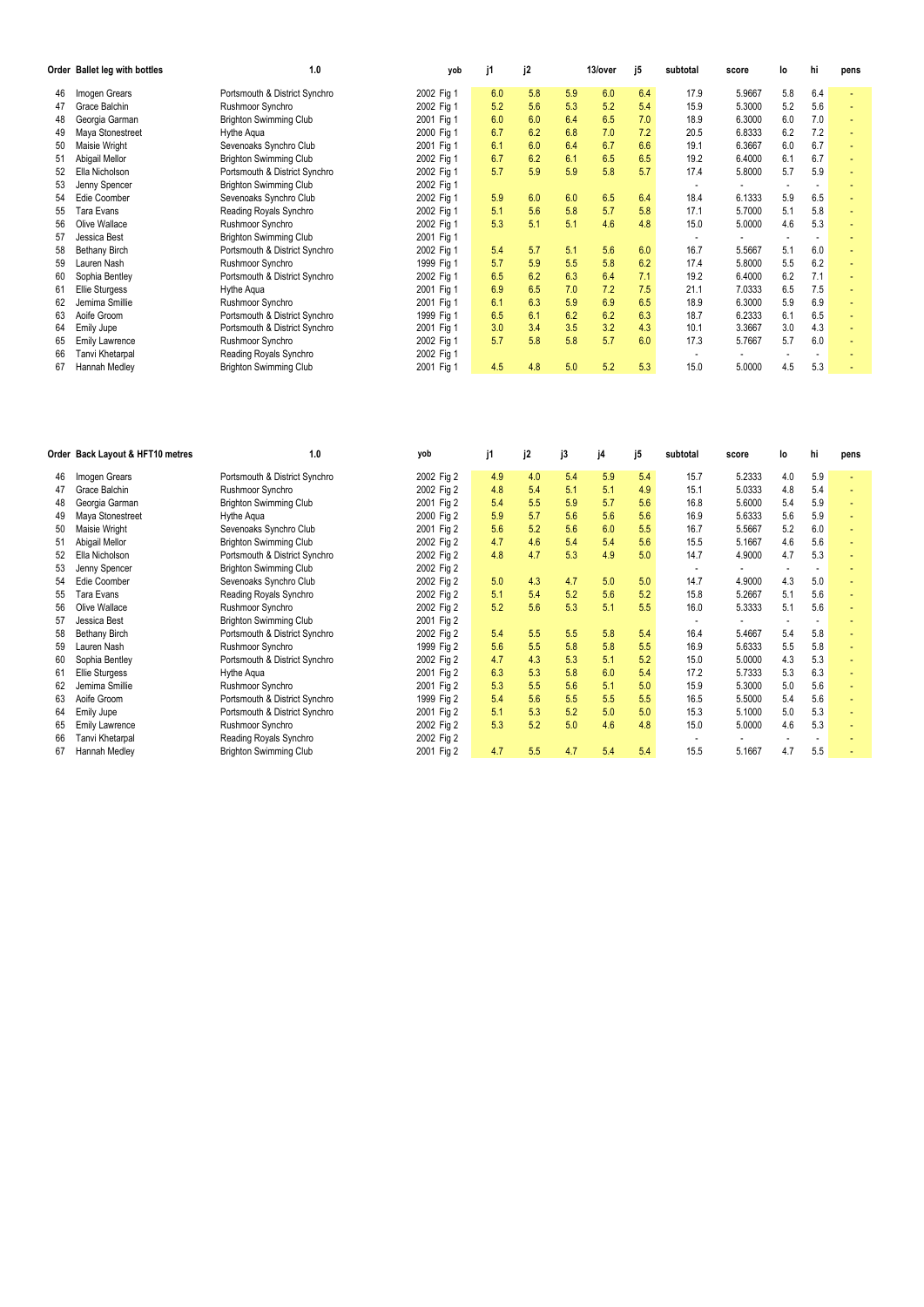|    | Order Ballet leg with bottles | 1.0                           | yob        | i1  | j2  |     | 13/over | j5  | subtotal | score  | l٥  | hi  | pens |
|----|-------------------------------|-------------------------------|------------|-----|-----|-----|---------|-----|----------|--------|-----|-----|------|
| 46 | Imogen Grears                 | Portsmouth & District Synchro | 2002 Fig 1 | 6.0 | 5.8 | 5.9 | 6.0     | 6.4 | 17.9     | 5.9667 | 5.8 | 6.4 |      |
| 47 | Grace Balchin                 | Rushmoor Synchro              | 2002 Fig 1 | 5.2 | 5.6 | 5.3 | 5.2     | 5.4 | 15.9     | 5.3000 | 5.2 | 5.6 |      |
| 48 | Georgia Garman                | <b>Brighton Swimming Club</b> | 2001 Fig 1 | 6.0 | 6.0 | 6.4 | 6.5     | 7.0 | 18.9     | 6.3000 | 6.0 | 7.0 |      |
| 49 | Maya Stonestreet              | Hythe Agua                    | 2000 Fig 1 | 6.7 | 6.2 | 6.8 | 7.0     | 7.2 | 20.5     | 6.8333 | 6.2 | 7.2 |      |
| 50 | Maisie Wright                 | Sevenoaks Synchro Club        | 2001 Fig 1 | 6.1 | 6.0 | 6.4 | 6.7     | 6.6 | 19.1     | 6.3667 | 6.0 | 6.7 |      |
| 51 | Abigail Mellor                | <b>Brighton Swimming Club</b> | 2002 Fig 1 | 6.7 | 6.2 | 6.1 | 6.5     | 6.5 | 19.2     | 6.4000 | 6.1 | 6.7 |      |
| 52 | Ella Nicholson                | Portsmouth & District Synchro | 2002 Fig 1 | 5.7 | 5.9 | 5.9 | 5.8     | 5.7 | 17.4     | 5.8000 | 5.7 | 5.9 |      |
| 53 | Jenny Spencer                 | <b>Brighton Swimming Club</b> | 2002 Fig 1 |     |     |     |         |     |          |        |     |     |      |
| 54 | Edie Coomber                  | Sevenoaks Synchro Club        | 2002 Fig 1 | 5.9 | 6.0 | 6.0 | 6.5     | 6.4 | 18.4     | 6.1333 | 5.9 | 6.5 |      |
| 55 | Tara Evans                    | Reading Royals Synchro        | 2002 Fig 1 | 5.1 | 5.6 | 5.8 | 5.7     | 5.8 | 17.1     | 5.7000 | 5.1 | 5.8 |      |
| 56 | Olive Wallace                 | Rushmoor Synchro              | 2002 Fig 1 | 5.3 | 5.1 | 5.1 | 4.6     | 4.8 | 15.0     | 5.0000 | 4.6 | 5.3 |      |
| 57 | Jessica Best                  | <b>Brighton Swimming Club</b> | 2001 Fig 1 |     |     |     |         |     |          |        |     |     |      |
| 58 | <b>Bethany Birch</b>          | Portsmouth & District Synchro | 2002 Fig 1 | 5.4 | 5.7 | 5.1 | 5.6     | 6.0 | 16.7     | 5.5667 | 5.1 | 6.0 |      |
| 59 | Lauren Nash                   | Rushmoor Synchro              | 1999 Fig 1 | 5.7 | 5.9 | 5.5 | 5.8     | 6.2 | 17.4     | 5.8000 | 5.5 | 6.2 |      |
| 60 | Sophia Bentley                | Portsmouth & District Synchro | 2002 Fig 1 | 6.5 | 6.2 | 6.3 | 6.4     | 7.1 | 19.2     | 6.4000 | 6.2 | 7.1 |      |
| 61 | <b>Ellie Sturgess</b>         | Hythe Agua                    | 2001 Fig 1 | 6.9 | 6.5 | 7.0 | 7.2     | 7.5 | 21.1     | 7.0333 | 6.5 | 7.5 |      |
| 62 | Jemima Smillie                | Rushmoor Synchro              | 2001 Fig 1 | 6.1 | 6.3 | 5.9 | 6.9     | 6.5 | 18.9     | 6.3000 | 5.9 | 6.9 |      |
| 63 | Aoife Groom                   | Portsmouth & District Synchro | 1999 Fig 1 | 6.5 | 6.1 | 6.2 | 6.2     | 6.3 | 18.7     | 6.2333 | 6.1 | 6.5 |      |
| 64 | Emily Jupe                    | Portsmouth & District Synchro | 2001 Fig 1 | 3.0 | 3.4 | 3.5 | 3.2     | 4.3 | 10.1     | 3.3667 | 3.0 | 4.3 |      |
| 65 | <b>Emily Lawrence</b>         | Rushmoor Synchro              | 2002 Fig 1 | 5.7 | 5.8 | 5.8 | 5.7     | 6.0 | 17.3     | 5.7667 | 5.7 | 6.0 |      |
| 66 | Tanvi Khetarpal               | Reading Royals Synchro        | 2002 Fig 1 |     |     |     |         |     |          |        |     |     |      |
| 67 | Hannah Medley                 | <b>Brighton Swimming Club</b> | 2001 Fig 1 | 4.5 | 4.8 | 5.0 | 5.2     | 5.3 | 15.0     | 5.0000 | 4.5 | 5.3 |      |

|    | Order Back Layout & HFT10 metres | 1.0                           | yob        | j1  | j2  | j3  | j4  | j5  | subtotal | score  | lo  | hi  | pens |
|----|----------------------------------|-------------------------------|------------|-----|-----|-----|-----|-----|----------|--------|-----|-----|------|
| 46 | Imogen Grears                    | Portsmouth & District Synchro | 2002 Fig 2 | 4.9 | 4.0 | 5.4 | 5.9 | 5.4 | 15.7     | 5.2333 | 4.0 | 5.9 |      |
| 47 | Grace Balchin                    | Rushmoor Synchro              | 2002 Fig 2 | 4.8 | 5.4 | 5.1 | 5.1 | 4.9 | 15.1     | 5.0333 | 4.8 | 5.4 |      |
| 48 | Georgia Garman                   | <b>Brighton Swimming Club</b> | 2001 Fig 2 | 5.4 | 5.5 | 5.9 | 5.7 | 5.6 | 16.8     | 5.6000 | 5.4 | 5.9 |      |
| 49 | Maya Stonestreet                 | Hythe Agua                    | 2000 Fig 2 | 5.9 | 5.7 | 5.6 | 5.6 | 5.6 | 16.9     | 5.6333 | 5.6 | 5.9 |      |
| 50 | Maisie Wright                    | Sevenoaks Synchro Club        | 2001 Fig 2 | 5.6 | 5.2 | 5.6 | 6.0 | 5.5 | 16.7     | 5.5667 | 5.2 | 6.0 |      |
| 51 | Abigail Mellor                   | <b>Brighton Swimming Club</b> | 2002 Fig 2 | 4.7 | 4.6 | 5.4 | 5.4 | 5.6 | 15.5     | 5.1667 | 4.6 | 5.6 |      |
| 52 | Ella Nicholson                   | Portsmouth & District Synchro | 2002 Fig 2 | 4.8 | 4.7 | 5.3 | 4.9 | 5.0 | 14.7     | 4.9000 | 4.7 | 5.3 |      |
| 53 | Jenny Spencer                    | <b>Brighton Swimming Club</b> | 2002 Fig 2 |     |     |     |     |     |          |        |     |     |      |
| 54 | Edie Coomber                     | Sevenoaks Synchro Club        | 2002 Fig 2 | 5.0 | 4.3 | 4.7 | 5.0 | 5.0 | 14.7     | 4.9000 | 4.3 | 5.0 |      |
| 55 | Tara Evans                       | Reading Royals Synchro        | 2002 Fig 2 | 5.1 | 5.4 | 5.2 | 5.6 | 5.2 | 15.8     | 5.2667 | 5.1 | 5.6 |      |
| 56 | Olive Wallace                    | Rushmoor Synchro              | 2002 Fig 2 | 5.2 | 5.6 | 5.3 | 5.1 | 5.5 | 16.0     | 5.3333 | 5.1 | 5.6 |      |
| 57 | Jessica Best                     | <b>Brighton Swimming Club</b> | 2001 Fig 2 |     |     |     |     |     |          |        |     |     |      |
| 58 | <b>Bethany Birch</b>             | Portsmouth & District Synchro | 2002 Fig 2 | 5.4 | 5.5 | 5.5 | 5.8 | 5.4 | 16.4     | 5.4667 | 5.4 | 5.8 |      |
| 59 | Lauren Nash                      | Rushmoor Synchro              | 1999 Fig 2 | 5.6 | 5.5 | 5.8 | 5.8 | 5.5 | 16.9     | 5.6333 | 5.5 | 5.8 |      |
| 60 | Sophia Bentley                   | Portsmouth & District Synchro | 2002 Fig 2 | 4.7 | 4.3 | 5.3 | 5.1 | 5.2 | 15.0     | 5.0000 | 4.3 | 5.3 |      |
| 61 | <b>Ellie Sturgess</b>            | Hythe Agua                    | 2001 Fig 2 | 6.3 | 5.3 | 5.8 | 6.0 | 5.4 | 17.2     | 5.7333 | 5.3 | 6.3 |      |
| 62 | Jemima Smillie                   | Rushmoor Synchro              | 2001 Fig 2 | 5.3 | 5.5 | 5.6 | 5.1 | 5.0 | 15.9     | 5.3000 | 5.0 | 5.6 |      |
| 63 | Aoife Groom                      | Portsmouth & District Synchro | 1999 Fig 2 | 5.4 | 5.6 | 5.5 | 5.5 | 5.5 | 16.5     | 5.5000 | 5.4 | 5.6 |      |
| 64 | Emily Jupe                       | Portsmouth & District Synchro | 2001 Fig 2 | 5.1 | 5.3 | 5.2 | 5.0 | 5.0 | 15.3     | 5.1000 | 5.0 | 5.3 |      |
| 65 | <b>Emily Lawrence</b>            | Rushmoor Synchro              | 2002 Fig 2 | 5.3 | 5.2 | 5.0 | 4.6 | 4.8 | 15.0     | 5.0000 | 4.6 | 5.3 |      |
| 66 | Tanvi Khetarpal                  | Reading Royals Synchro        | 2002 Fig 2 |     |     |     |     |     |          |        |     |     |      |
| 67 | Hannah Medley                    | <b>Brighton Swimming Club</b> | 2001 Fig 2 | 4.7 | 5.5 | 4.7 | 5.4 | 5.4 | 15.5     | 5.1667 | 4.7 | 5.5 |      |